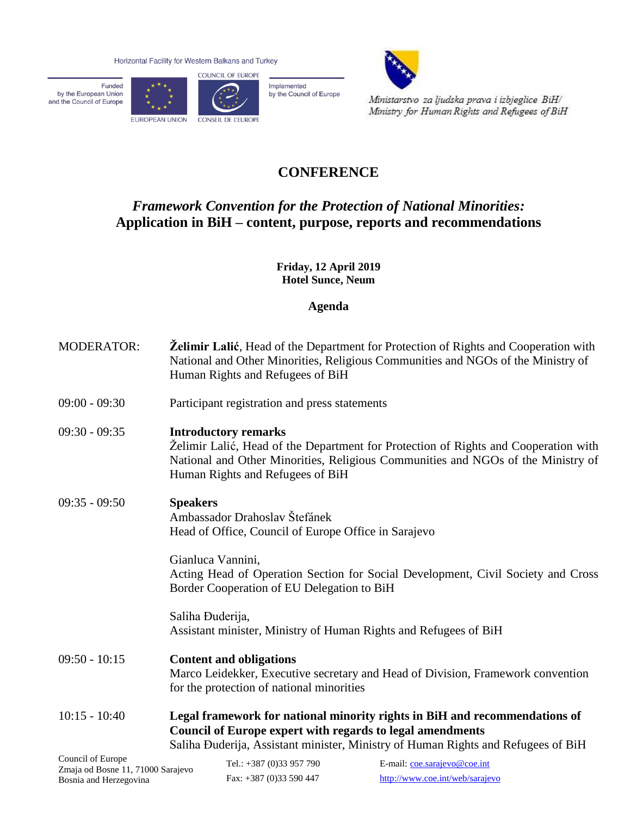Horizontal Facility for Western Balkans and Turkey

Funded by the European Union<br>and the Council of Europe





Implemented by the Council of Europe



Ministarstvo za ljudska prava i izbjeglice BiH/ Ministry for Human Rights and Refugees of BiH

## **CONFERENCE**

## *Framework Convention for the Protection of National Minorities:* **Application in BiH – content, purpose, reports and recommendations**

**Friday, 12 April 2019 Hotel Sunce, Neum**

**Agenda**

| <b>MODERATOR:</b>                   | <b>Želimir Lalić</b> , Head of the Department for Protection of Rights and Cooperation with<br>National and Other Minorities, Religious Communities and NGOs of the Ministry of<br>Human Rights and Refugees of BiH                        |  |
|-------------------------------------|--------------------------------------------------------------------------------------------------------------------------------------------------------------------------------------------------------------------------------------------|--|
| $09:00 - 09:30$                     | Participant registration and press statements                                                                                                                                                                                              |  |
| $09:30 - 09:35$                     | <b>Introductory remarks</b><br>Želimir Lalić, Head of the Department for Protection of Rights and Cooperation with<br>National and Other Minorities, Religious Communities and NGOs of the Ministry of<br>Human Rights and Refugees of BiH |  |
| $09:35 - 09:50$                     | <b>Speakers</b><br>Ambassador Drahoslav Štefánek<br>Head of Office, Council of Europe Office in Sarajevo                                                                                                                                   |  |
|                                     | Gianluca Vannini,<br>Acting Head of Operation Section for Social Development, Civil Society and Cross<br>Border Cooperation of EU Delegation to BiH                                                                                        |  |
|                                     | Saliha Đuderija,<br>Assistant minister, Ministry of Human Rights and Refugees of BiH                                                                                                                                                       |  |
| $09:50 - 10:15$                     | <b>Content and obligations</b><br>Marco Leidekker, Executive secretary and Head of Division, Framework convention<br>for the protection of national minorities                                                                             |  |
| $10:15 - 10:40$                     | Legal framework for national minority rights in BiH and recommendations of<br>Council of Europe expert with regards to legal amendments<br>Saliha Đuderija, Assistant minister, Ministry of Human Rights and Refugees of BiH               |  |
| Council of Europe<br>$\blacksquare$ | Tel.: +387 (0)33 957 790<br>E-mail: coe.sarajevo@coe.int                                                                                                                                                                                   |  |